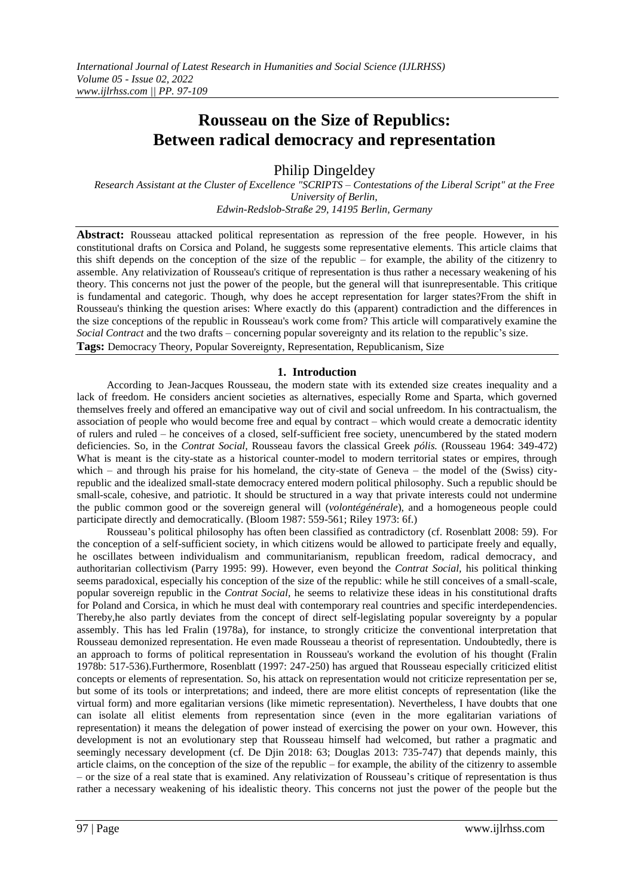# **Rousseau on the Size of Republics: Between radical democracy and representation**

Philip Dingeldey

*Research Assistant at the Cluster of Excellence "SCRIPTS – Contestations of the Liberal Script" at the Free University of Berlin, Edwin-Redslob-Straße 29, 14195 Berlin, Germany*

**Abstract:** Rousseau attacked political representation as repression of the free people. However, in his constitutional drafts on Corsica and Poland, he suggests some representative elements. This article claims that this shift depends on the conception of the size of the republic – for example, the ability of the citizenry to assemble. Any relativization of Rousseau's critique of representation is thus rather a necessary weakening of his theory. This concerns not just the power of the people, but the general will that isunrepresentable. This critique is fundamental and categoric. Though, why does he accept representation for larger states?From the shift in Rousseau's thinking the question arises: Where exactly do this (apparent) contradiction and the differences in the size conceptions of the republic in Rousseau's work come from? This article will comparatively examine the *Social Contract* and the two drafts – concerning popular sovereignty and its relation to the republic's size. **Tags:** Democracy Theory, Popular Sovereignty, Representation, Republicanism, Size

# **1. Introduction**

According to Jean-Jacques Rousseau, the modern state with its extended size creates inequality and a lack of freedom. He considers ancient societies as alternatives, especially Rome and Sparta, which governed themselves freely and offered an emancipative way out of civil and social unfreedom. In his contractualism, the association of people who would become free and equal by contract – which would create a democratic identity of rulers and ruled – he conceives of a closed, self-sufficient free society, unencumbered by the stated modern deficiencies. So, in the *Contrat Social,* Rousseau favors the classical Greek *pólis.* (Rousseau 1964: 349-472) What is meant is the city-state as a historical counter-model to modern territorial states or empires, through which – and through his praise for his homeland, the city-state of Geneva – the model of the (Swiss) cityrepublic and the idealized small-state democracy entered modern political philosophy. Such a republic should be small-scale, cohesive, and patriotic. It should be structured in a way that private interests could not undermine the public common good or the sovereign general will (*volontégénérale*), and a homogeneous people could participate directly and democratically. (Bloom 1987: 559-561; Riley 1973: 6f.)

Rousseau's political philosophy has often been classified as contradictory (cf. Rosenblatt 2008: 59). For the conception of a self-sufficient society, in which citizens would be allowed to participate freely and equally, he oscillates between individualism and communitarianism, republican freedom, radical democracy, and authoritarian collectivism (Parry 1995: 99). However, even beyond the *Contrat Social,* his political thinking seems paradoxical, especially his conception of the size of the republic: while he still conceives of a small-scale, popular sovereign republic in the *Contrat Social,* he seems to relativize these ideas in his constitutional drafts for Poland and Corsica, in which he must deal with contemporary real countries and specific interdependencies. Thereby,he also partly deviates from the concept of direct self-legislating popular sovereignty by a popular assembly. This has led Fralin (1978a), for instance, to strongly criticize the conventional interpretation that Rousseau demonized representation. He even made Rousseau a theorist of representation. Undoubtedly, there is an approach to forms of political representation in Rousseau's workand the evolution of his thought (Fralin 1978b: 517-536).Furthermore, Rosenblatt (1997: 247-250) has argued that Rousseau especially criticized elitist concepts or elements of representation. So, his attack on representation would not criticize representation per se, but some of its tools or interpretations; and indeed, there are more elitist concepts of representation (like the virtual form) and more egalitarian versions (like mimetic representation). Nevertheless, I have doubts that one can isolate all elitist elements from representation since (even in the more egalitarian variations of representation) it means the delegation of power instead of exercising the power on your own. However, this development is not an evolutionary step that Rousseau himself had welcomed, but rather a pragmatic and seemingly necessary development (cf. De Djin 2018: 63; Douglas 2013: 735-747) that depends mainly, this article claims, on the conception of the size of the republic – for example, the ability of the citizenry to assemble – or the size of a real state that is examined. Any relativization of Rousseau's critique of representation is thus rather a necessary weakening of his idealistic theory. This concerns not just the power of the people but the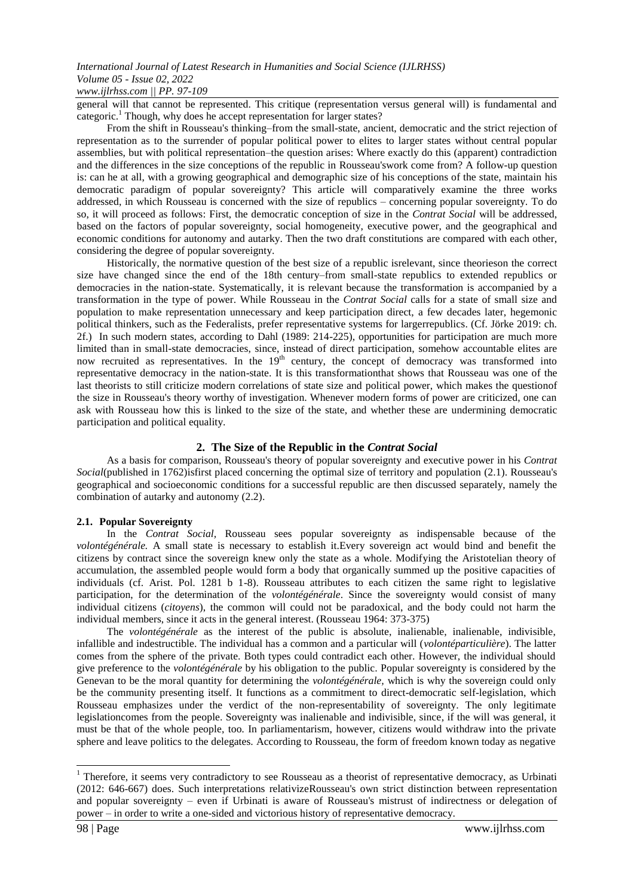general will that cannot be represented. This critique (representation versus general will) is fundamental and categoric.<sup>1</sup> Though, why does he accept representation for larger states?

From the shift in Rousseau's thinking–from the small-state, ancient, democratic and the strict rejection of representation as to the surrender of popular political power to elites to larger states without central popular assemblies, but with political representation–the question arises: Where exactly do this (apparent) contradiction and the differences in the size conceptions of the republic in Rousseau'swork come from? A follow-up question is: can he at all, with a growing geographical and demographic size of his conceptions of the state, maintain his democratic paradigm of popular sovereignty? This article will comparatively examine the three works addressed, in which Rousseau is concerned with the size of republics – concerning popular sovereignty. To do so, it will proceed as follows: First, the democratic conception of size in the *Contrat Social* will be addressed, based on the factors of popular sovereignty, social homogeneity, executive power, and the geographical and economic conditions for autonomy and autarky. Then the two draft constitutions are compared with each other, considering the degree of popular sovereignty.

Historically, the normative question of the best size of a republic isrelevant, since theorieson the correct size have changed since the end of the 18th century–from small-state republics to extended republics or democracies in the nation-state. Systematically, it is relevant because the transformation is accompanied by a transformation in the type of power. While Rousseau in the *Contrat Social* calls for a state of small size and population to make representation unnecessary and keep participation direct, a few decades later, hegemonic political thinkers, such as the Federalists, prefer representative systems for largerrepublics. (Cf. Jörke 2019: ch. 2f.) In such modern states, according to Dahl (1989: 214-225), opportunities for participation are much more limited than in small-state democracies, since, instead of direct participation, somehow accountable elites are now recruited as representatives. In the  $19<sup>th</sup>$  century, the concept of democracy was transformed into representative democracy in the nation-state. It is this transformationthat shows that Rousseau was one of the last theorists to still criticize modern correlations of state size and political power, which makes the questionof the size in Rousseau's theory worthy of investigation. Whenever modern forms of power are criticized, one can ask with Rousseau how this is linked to the size of the state, and whether these are undermining democratic participation and political equality.

## **2. The Size of the Republic in the** *Contrat Social*

As a basis for comparison, Rousseau's theory of popular sovereignty and executive power in his *Contrat Social*(published in 1762)isfirst placed concerning the optimal size of territory and population (2.1). Rousseau's geographical and socioeconomic conditions for a successful republic are then discussed separately, namely the combination of autarky and autonomy (2.2).

## **2.1. Popular Sovereignty**

In the *Contrat Social,* Rousseau sees popular sovereignty as indispensable because of the *volontégénérale.* A small state is necessary to establish it.Every sovereign act would bind and benefit the citizens by contract since the sovereign knew only the state as a whole. Modifying the Aristotelian theory of accumulation, the assembled people would form a body that organically summed up the positive capacities of individuals (cf. Arist. Pol. 1281 b 1-8). Rousseau attributes to each citizen the same right to legislative participation, for the determination of the *volontégénérale*. Since the sovereignty would consist of many individual citizens (*citoyens*), the common will could not be paradoxical, and the body could not harm the individual members, since it acts in the general interest. (Rousseau 1964: 373-375)

The *volontégénérale* as the interest of the public is absolute, inalienable, inalienable, indivisible, infallible and indestructible. The individual has a common and a particular will (*volontéparticulière*). The latter comes from the sphere of the private. Both types could contradict each other. However, the individual should give preference to the *volontégénérale* by his obligation to the public. Popular sovereignty is considered by the Genevan to be the moral quantity for determining the *volontégénérale,* which is why the sovereign could only be the community presenting itself. It functions as a commitment to direct-democratic self-legislation, which Rousseau emphasizes under the verdict of the non-representability of sovereignty. The only legitimate legislationcomes from the people. Sovereignty was inalienable and indivisible, since, if the will was general, it must be that of the whole people, too*.* In parliamentarism, however, citizens would withdraw into the private sphere and leave politics to the delegates. According to Rousseau, the form of freedom known today as negative

1

 $1$  Therefore, it seems very contradictory to see Rousseau as a theorist of representative democracy, as Urbinati (2012: 646-667) does. Such interpretations relativizeRousseau's own strict distinction between representation and popular sovereignty – even if Urbinati is aware of Rousseau's mistrust of indirectness or delegation of power – in order to write a one-sided and victorious history of representative democracy.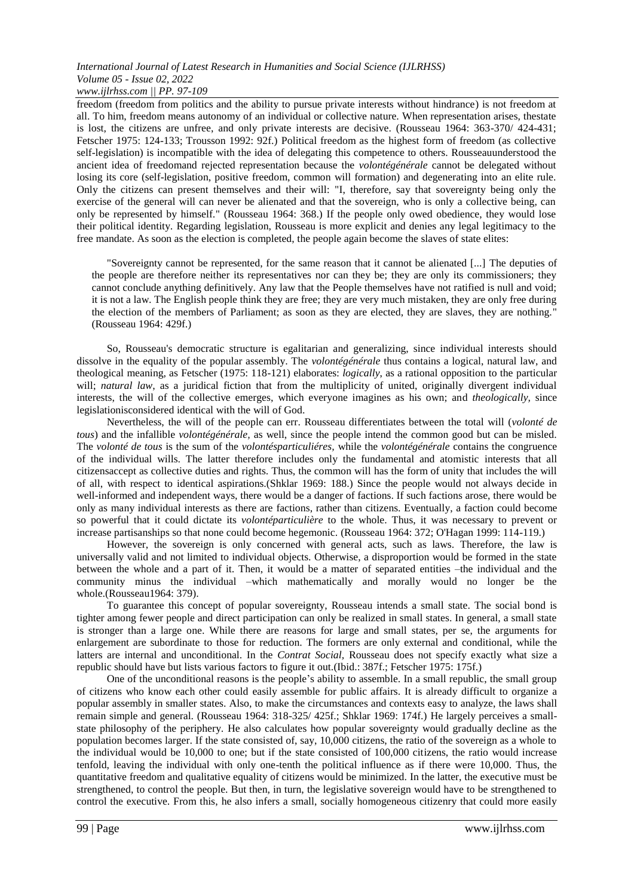freedom (freedom from politics and the ability to pursue private interests without hindrance) is not freedom at all. To him, freedom means autonomy of an individual or collective nature. When representation arises, thestate is lost, the citizens are unfree, and only private interests are decisive. (Rousseau 1964: 363-370/ 424-431; Fetscher 1975: 124-133; Trousson 1992: 92f.) Political freedom as the highest form of freedom (as collective self-legislation) is incompatible with the idea of delegating this competence to others. Rousseauunderstood the ancient idea of freedomand rejected representation because the *volontégénérale* cannot be delegated without losing its core (self-legislation, positive freedom, common will formation) and degenerating into an elite rule. Only the citizens can present themselves and their will: "I, therefore, say that sovereignty being only the exercise of the general will can never be alienated and that the sovereign, who is only a collective being, can only be represented by himself." (Rousseau 1964: 368.) If the people only owed obedience, they would lose their political identity. Regarding legislation, Rousseau is more explicit and denies any legal legitimacy to the free mandate. As soon as the election is completed, the people again become the slaves of state elites:

"Sovereignty cannot be represented, for the same reason that it cannot be alienated [...] The deputies of the people are therefore neither its representatives nor can they be; they are only its commissioners; they cannot conclude anything definitively. Any law that the People themselves have not ratified is null and void; it is not a law. The English people think they are free; they are very much mistaken, they are only free during the election of the members of Parliament; as soon as they are elected, they are slaves, they are nothing." (Rousseau 1964: 429f.)

So, Rousseau's democratic structure is egalitarian and generalizing, since individual interests should dissolve in the equality of the popular assembly. The *volontégénérale* thus contains a logical, natural law, and theological meaning, as Fetscher (1975: 118-121) elaborates: *logically*, as a rational opposition to the particular will; *natural law*, as a juridical fiction that from the multiplicity of united, originally divergent individual interests, the will of the collective emerges, which everyone imagines as his own; and *theologically,* since legislationisconsidered identical with the will of God.

Nevertheless, the will of the people can err. Rousseau differentiates between the total will (*volonté de tous*) and the infallible *volontégénérale,* as well, since the people intend the common good but can be misled. The *volonté de tous* is the sum of the *volontésparticuliéres,* while the *volontégénérale* contains the congruence of the individual wills. The latter therefore includes only the fundamental and atomistic interests that all citizensaccept as collective duties and rights. Thus, the common will has the form of unity that includes the will of all, with respect to identical aspirations.(Shklar 1969: 188.) Since the people would not always decide in well-informed and independent ways, there would be a danger of factions. If such factions arose, there would be only as many individual interests as there are factions, rather than citizens. Eventually, a faction could become so powerful that it could dictate its *volontéparticulière* to the whole. Thus, it was necessary to prevent or increase partisanships so that none could become hegemonic. (Rousseau 1964: 372; O'Hagan 1999: 114-119.)

However, the sovereign is only concerned with general acts, such as laws. Therefore, the law is universally valid and not limited to individual objects. Otherwise, a disproportion would be formed in the state between the whole and a part of it. Then, it would be a matter of separated entities –the individual and the community minus the individual –which mathematically and morally would no longer be the whole.(Rousseau1964: 379).

To guarantee this concept of popular sovereignty, Rousseau intends a small state. The social bond is tighter among fewer people and direct participation can only be realized in small states. In general, a small state is stronger than a large one. While there are reasons for large and small states, per se, the arguments for enlargement are subordinate to those for reduction. The formers are only external and conditional, while the latters are internal and unconditional. In the *Contrat Social,* Rousseau does not specify exactly what size a republic should have but lists various factors to figure it out.(Ibid.: 387f.; Fetscher 1975: 175f.)

One of the unconditional reasons is the people's ability to assemble. In a small republic, the small group of citizens who know each other could easily assemble for public affairs. It is already difficult to organize a popular assembly in smaller states. Also, to make the circumstances and contexts easy to analyze, the laws shall remain simple and general. (Rousseau 1964: 318-325/ 425f.; Shklar 1969: 174f.) He largely perceives a smallstate philosophy of the periphery. He also calculates how popular sovereignty would gradually decline as the population becomes larger. If the state consisted of, say, 10,000 citizens, the ratio of the sovereign as a whole to the individual would be 10,000 to one; but if the state consisted of 100,000 citizens, the ratio would increase tenfold, leaving the individual with only one-tenth the political influence as if there were 10,000. Thus, the quantitative freedom and qualitative equality of citizens would be minimized. In the latter, the executive must be strengthened, to control the people. But then, in turn, the legislative sovereign would have to be strengthened to control the executive. From this, he also infers a small, socially homogeneous citizenry that could more easily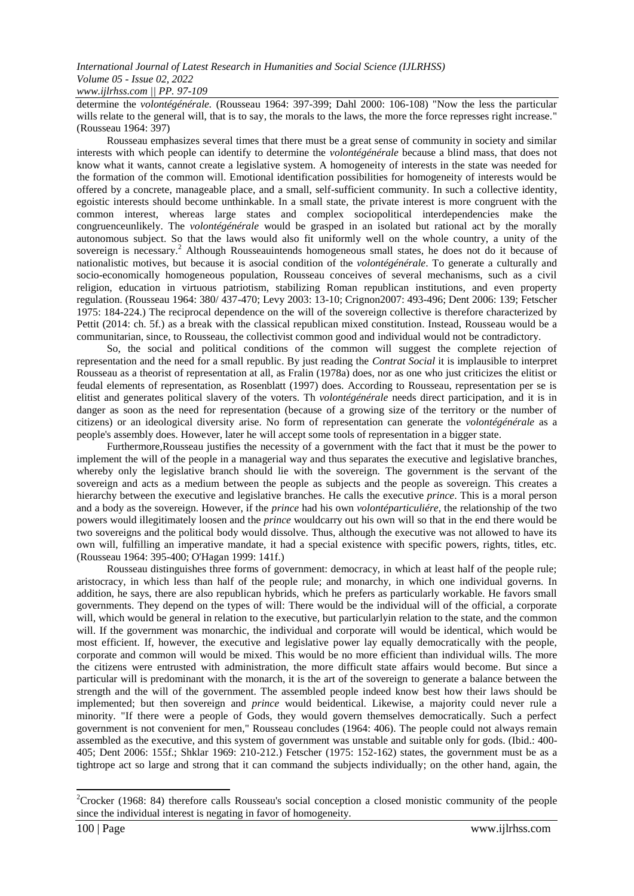determine the *volontégénérale.* (Rousseau 1964: 397-399; Dahl 2000: 106-108) "Now the less the particular wills relate to the general will, that is to say, the morals to the laws, the more the force represses right increase." (Rousseau 1964: 397)

Rousseau emphasizes several times that there must be a great sense of community in society and similar interests with which people can identify to determine the *volontégénérale* because a blind mass, that does not know what it wants, cannot create a legislative system. A homogeneity of interests in the state was needed for the formation of the common will. Emotional identification possibilities for homogeneity of interests would be offered by a concrete, manageable place, and a small, self-sufficient community. In such a collective identity, egoistic interests should become unthinkable. In a small state, the private interest is more congruent with the common interest, whereas large states and complex sociopolitical interdependencies make the congruenceunlikely. The *volontégénérale* would be grasped in an isolated but rational act by the morally autonomous subject. So that the laws would also fit uniformly well on the whole country, a unity of the sovereign is necessary.<sup>2</sup> Although Rousseauintends homogeneous small states, he does not do it because of nationalistic motives, but because it is asocial condition of the *volontégénérale*. To generate a culturally and socio-economically homogeneous population, Rousseau conceives of several mechanisms, such as a civil religion, education in virtuous patriotism, stabilizing Roman republican institutions, and even property regulation. (Rousseau 1964: 380/ 437-470; Levy 2003: 13-10; Crignon2007: 493-496; Dent 2006: 139; Fetscher 1975: 184-224.) The reciprocal dependence on the will of the sovereign collective is therefore characterized by Pettit (2014: ch. 5f.) as a break with the classical republican mixed constitution. Instead, Rousseau would be a communitarian, since, to Rousseau, the collectivist common good and individual would not be contradictory.

So, the social and political conditions of the common will suggest the complete rejection of representation and the need for a small republic. By just reading the *Contrat Social* it is implausible to interpret Rousseau as a theorist of representation at all, as Fralin (1978a) does, nor as one who just criticizes the elitist or feudal elements of representation, as Rosenblatt (1997) does. According to Rousseau, representation per se is elitist and generates political slavery of the voters. Th *volontégénérale* needs direct participation, and it is in danger as soon as the need for representation (because of a growing size of the territory or the number of citizens) or an ideological diversity arise. No form of representation can generate the *volontégénérale* as a people's assembly does. However, later he will accept some tools of representation in a bigger state.

Furthermore,Rousseau justifies the necessity of a government with the fact that it must be the power to implement the will of the people in a managerial way and thus separates the executive and legislative branches, whereby only the legislative branch should lie with the sovereign. The government is the servant of the sovereign and acts as a medium between the people as subjects and the people as sovereign. This creates a hierarchy between the executive and legislative branches. He calls the executive *prince*. This is a moral person and a body as the sovereign. However, if the *prince* had his own *volontéparticuliére*, the relationship of the two powers would illegitimately loosen and the *prince* wouldcarry out his own will so that in the end there would be two sovereigns and the political body would dissolve. Thus, although the executive was not allowed to have its own will, fulfilling an imperative mandate, it had a special existence with specific powers, rights, titles, etc. (Rousseau 1964: 395-400; O'Hagan 1999: 141f.)

Rousseau distinguishes three forms of government: democracy, in which at least half of the people rule; aristocracy, in which less than half of the people rule; and monarchy, in which one individual governs. In addition, he says, there are also republican hybrids, which he prefers as particularly workable. He favors small governments. They depend on the types of will: There would be the individual will of the official, a corporate will, which would be general in relation to the executive, but particularly in relation to the state, and the common will. If the government was monarchic, the individual and corporate will would be identical, which would be most efficient. If, however, the executive and legislative power lay equally democratically with the people, corporate and common will would be mixed. This would be no more efficient than individual wills. The more the citizens were entrusted with administration, the more difficult state affairs would become. But since a particular will is predominant with the monarch, it is the art of the sovereign to generate a balance between the strength and the will of the government. The assembled people indeed know best how their laws should be implemented; but then sovereign and *prince* would beidentical. Likewise, a majority could never rule a minority. "If there were a people of Gods, they would govern themselves democratically. Such a perfect government is not convenient for men," Rousseau concludes (1964: 406). The people could not always remain assembled as the executive, and this system of government was unstable and suitable only for gods. (Ibid.: 400- 405; Dent 2006: 155f.; Shklar 1969: 210-212.) Fetscher (1975: 152-162) states, the government must be as a tightrope act so large and strong that it can command the subjects individually; on the other hand, again, the

**-**

<sup>&</sup>lt;sup>2</sup>Crocker (1968: 84) therefore calls Rousseau's social conception a closed monistic community of the people since the individual interest is negating in favor of homogeneity.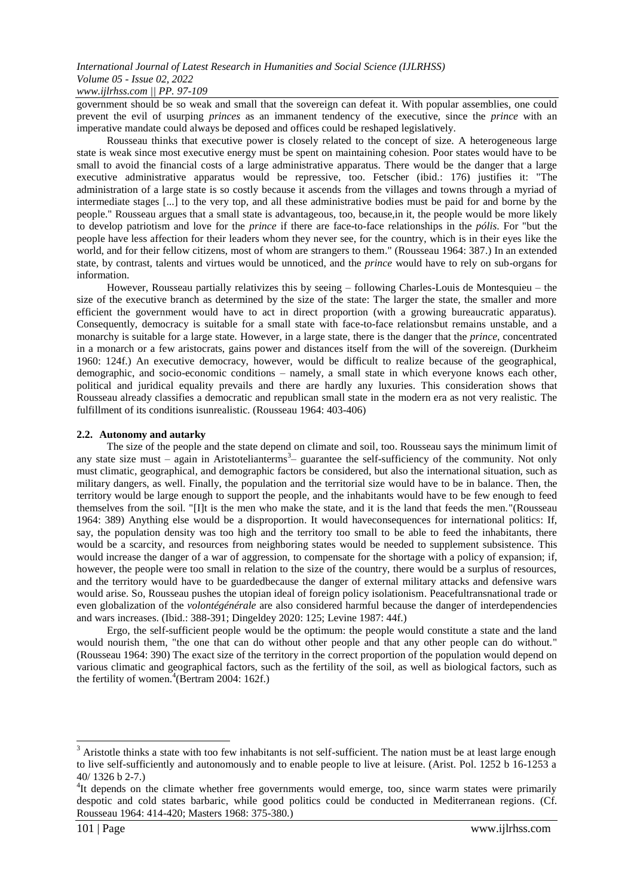government should be so weak and small that the sovereign can defeat it. With popular assemblies, one could prevent the evil of usurping *princes* as an immanent tendency of the executive, since the *prince* with an imperative mandate could always be deposed and offices could be reshaped legislatively.

Rousseau thinks that executive power is closely related to the concept of size. A heterogeneous large state is weak since most executive energy must be spent on maintaining cohesion. Poor states would have to be small to avoid the financial costs of a large administrative apparatus. There would be the danger that a large executive administrative apparatus would be repressive, too. Fetscher (ibid.: 176) justifies it: "The administration of a large state is so costly because it ascends from the villages and towns through a myriad of intermediate stages [...] to the very top, and all these administrative bodies must be paid for and borne by the people." Rousseau argues that a small state is advantageous, too, because,in it, the people would be more likely to develop patriotism and love for the *prince* if there are face-to-face relationships in the *pólis*. For "but the people have less affection for their leaders whom they never see, for the country, which is in their eyes like the world, and for their fellow citizens, most of whom are strangers to them." (Rousseau 1964: 387.) In an extended state, by contrast, talents and virtues would be unnoticed, and the *prince* would have to rely on sub-organs for information.

However, Rousseau partially relativizes this by seeing – following Charles-Louis de Montesquieu – the size of the executive branch as determined by the size of the state: The larger the state, the smaller and more efficient the government would have to act in direct proportion (with a growing bureaucratic apparatus). Consequently, democracy is suitable for a small state with face-to-face relationsbut remains unstable, and a monarchy is suitable for a large state. However, in a large state, there is the danger that the *prince,* concentrated in a monarch or a few aristocrats, gains power and distances itself from the will of the sovereign. (Durkheim 1960: 124f.) An executive democracy, however, would be difficult to realize because of the geographical, demographic, and socio-economic conditions – namely, a small state in which everyone knows each other, political and juridical equality prevails and there are hardly any luxuries. This consideration shows that Rousseau already classifies a democratic and republican small state in the modern era as not very realistic*.* The fulfillment of its conditions isunrealistic. (Rousseau 1964: 403-406)

## **2.2. Autonomy and autarky**

The size of the people and the state depend on climate and soil, too. Rousseau says the minimum limit of any state size must – again in Aristotelianterms<sup>3</sup> – guarantee the self-sufficiency of the community. Not only must climatic, geographical, and demographic factors be considered, but also the international situation, such as military dangers, as well. Finally, the population and the territorial size would have to be in balance. Then, the territory would be large enough to support the people, and the inhabitants would have to be few enough to feed themselves from the soil. "[I]t is the men who make the state, and it is the land that feeds the men."(Rousseau 1964: 389) Anything else would be a disproportion. It would haveconsequences for international politics: If, say, the population density was too high and the territory too small to be able to feed the inhabitants, there would be a scarcity, and resources from neighboring states would be needed to supplement subsistence. This would increase the danger of a war of aggression, to compensate for the shortage with a policy of expansion; if, however, the people were too small in relation to the size of the country, there would be a surplus of resources, and the territory would have to be guardedbecause the danger of external military attacks and defensive wars would arise. So, Rousseau pushes the utopian ideal of foreign policy isolationism. Peacefultransnational trade or even globalization of the *volontégénérale* are also considered harmful because the danger of interdependencies and wars increases. (Ibid.: 388-391; Dingeldey 2020: 125; Levine 1987: 44f.)

Ergo, the self-sufficient people would be the optimum: the people would constitute a state and the land would nourish them, "the one that can do without other people and that any other people can do without." (Rousseau 1964: 390) The exact size of the territory in the correct proportion of the population would depend on various climatic and geographical factors, such as the fertility of the soil, as well as biological factors, such as the fertility of women.<sup>4</sup>(Bertram 2004: 162f.)

**.** 

 $3$  Aristotle thinks a state with too few inhabitants is not self-sufficient. The nation must be at least large enough to live self-sufficiently and autonomously and to enable people to live at leisure. (Arist. Pol. 1252 b 16-1253 a 40/ 1326 b 2-7.)

<sup>&</sup>lt;sup>4</sup>It depends on the climate whether free governments would emerge, too, since warm states were primarily despotic and cold states barbaric, while good politics could be conducted in Mediterranean regions. (Cf. Rousseau 1964: 414-420; Masters 1968: 375-380.)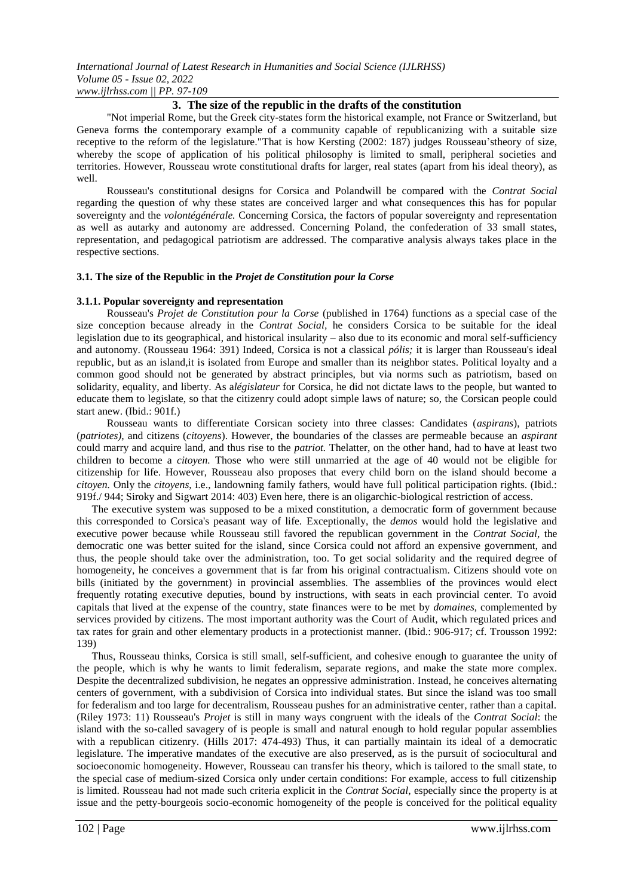## **3. The size of the republic in the drafts of the constitution**

"Not imperial Rome, but the Greek city-states form the historical example, not France or Switzerland, but Geneva forms the contemporary example of a community capable of republicanizing with a suitable size receptive to the reform of the legislature."That is how Kersting (2002: 187) judges Rousseau'stheory of size, whereby the scope of application of his political philosophy is limited to small, peripheral societies and territories. However, Rousseau wrote constitutional drafts for larger, real states (apart from his ideal theory), as well.

Rousseau's constitutional designs for Corsica and Polandwill be compared with the *Contrat Social*  regarding the question of why these states are conceived larger and what consequences this has for popular sovereignty and the *volontégénérale.* Concerning Corsica, the factors of popular sovereignty and representation as well as autarky and autonomy are addressed. Concerning Poland, the confederation of 33 small states, representation, and pedagogical patriotism are addressed. The comparative analysis always takes place in the respective sections.

## **3.1. The size of the Republic in the** *Projet de Constitution pour la Corse*

## **3.1.1. Popular sovereignty and representation**

Rousseau's *Projet de Constitution pour la Corse* (published in 1764) functions as a special case of the size conception because already in the *Contrat Social,* he considers Corsica to be suitable for the ideal legislation due to its geographical, and historical insularity – also due to its economic and moral self-sufficiency and autonomy. (Rousseau 1964: 391) Indeed, Corsica is not a classical *pólis;* it is larger than Rousseau's ideal republic, but as an island,it is isolated from Europe and smaller than its neighbor states. Political loyalty and a common good should not be generated by abstract principles, but via norms such as patriotism, based on solidarity, equality, and liberty. As a*législateur* for Corsica, he did not dictate laws to the people, but wanted to educate them to legislate, so that the citizenry could adopt simple laws of nature; so, the Corsican people could start anew. (Ibid.: 901f.)

Rousseau wants to differentiate Corsican society into three classes: Candidates (*aspirans*), patriots (*patriotes)*, and citizens (*citoyens*). However, the boundaries of the classes are permeable because an *aspirant*  could marry and acquire land, and thus rise to the *patriot.* Thelatter, on the other hand, had to have at least two children to become a *citoyen.* Those who were still unmarried at the age of 40 would not be eligible for citizenship for life. However, Rousseau also proposes that every child born on the island should become a *citoyen.* Only the *citoyens*, i.e., landowning family fathers, would have full political participation rights. (Ibid.: 919f./ 944; Siroky and Sigwart 2014: 403) Even here, there is an oligarchic-biological restriction of access.

The executive system was supposed to be a mixed constitution, a democratic form of government because this corresponded to Corsica's peasant way of life. Exceptionally, the *demos* would hold the legislative and executive power because while Rousseau still favored the republican government in the *Contrat Social*, the democratic one was better suited for the island, since Corsica could not afford an expensive government, and thus, the people should take over the administration, too. To get social solidarity and the required degree of homogeneity, he conceives a government that is far from his original contractualism. Citizens should vote on bills (initiated by the government) in provincial assemblies. The assemblies of the provinces would elect frequently rotating executive deputies, bound by instructions, with seats in each provincial center. To avoid capitals that lived at the expense of the country, state finances were to be met by *domaines*, complemented by services provided by citizens. The most important authority was the Court of Audit, which regulated prices and tax rates for grain and other elementary products in a protectionist manner. (Ibid.: 906-917; cf. Trousson 1992: 139)

Thus, Rousseau thinks, Corsica is still small, self-sufficient, and cohesive enough to guarantee the unity of the people, which is why he wants to limit federalism, separate regions, and make the state more complex. Despite the decentralized subdivision, he negates an oppressive administration. Instead, he conceives alternating centers of government, with a subdivision of Corsica into individual states. But since the island was too small for federalism and too large for decentralism, Rousseau pushes for an administrative center, rather than a capital. (Riley 1973: 11) Rousseau's *Projet* is still in many ways congruent with the ideals of the *Contrat Social*: the island with the so-called savagery of is people is small and natural enough to hold regular popular assemblies with a republican citizenry. (Hills 2017: 474-493) Thus, it can partially maintain its ideal of a democratic legislature. The imperative mandates of the executive are also preserved, as is the pursuit of sociocultural and socioeconomic homogeneity. However, Rousseau can transfer his theory, which is tailored to the small state, to the special case of medium-sized Corsica only under certain conditions: For example, access to full citizenship is limited. Rousseau had not made such criteria explicit in the *Contrat Social*, especially since the property is at issue and the petty-bourgeois socio-economic homogeneity of the people is conceived for the political equality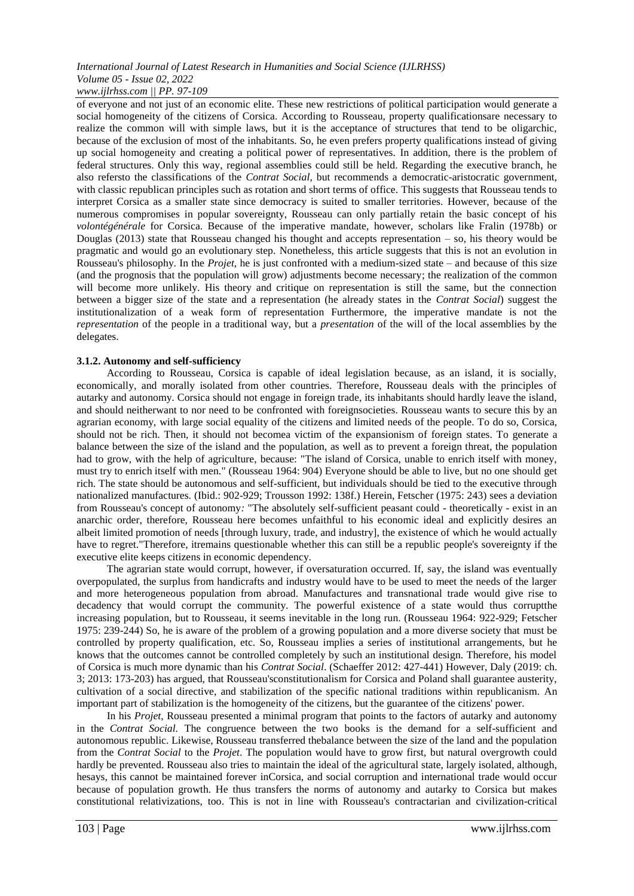of everyone and not just of an economic elite. These new restrictions of political participation would generate a social homogeneity of the citizens of Corsica. According to Rousseau, property qualificationsare necessary to realize the common will with simple laws, but it is the acceptance of structures that tend to be oligarchic, because of the exclusion of most of the inhabitants. So, he even prefers property qualifications instead of giving up social homogeneity and creating a political power of representatives. In addition, there is the problem of federal structures. Only this way, regional assemblies could still be held. Regarding the executive branch, he also refersto the classifications of the *Contrat Social*, but recommends a democratic-aristocratic government, with classic republican principles such as rotation and short terms of office. This suggests that Rousseau tends to interpret Corsica as a smaller state since democracy is suited to smaller territories. However, because of the numerous compromises in popular sovereignty, Rousseau can only partially retain the basic concept of his *volontégénérale* for Corsica. Because of the imperative mandate, however, scholars like Fralin (1978b) or Douglas (2013) state that Rousseau changed his thought and accepts representation – so, his theory would be pragmatic and would go an evolutionary step. Nonetheless, this article suggests that this is not an evolution in Rousseau's philosophy. In the *Projet*, he is just confronted with a medium-sized state – and because of this size (and the prognosis that the population will grow) adjustments become necessary; the realization of the common will become more unlikely. His theory and critique on representation is still the same, but the connection between a bigger size of the state and a representation (he already states in the *Contrat Social*) suggest the institutionalization of a weak form of representation Furthermore, the imperative mandate is not the *representation* of the people in a traditional way, but a *presentation* of the will of the local assemblies by the delegates.

## **3.1.2. Autonomy and self-sufficiency**

According to Rousseau, Corsica is capable of ideal legislation because, as an island, it is socially, economically, and morally isolated from other countries. Therefore, Rousseau deals with the principles of autarky and autonomy*.* Corsica should not engage in foreign trade, its inhabitants should hardly leave the island, and should neitherwant to nor need to be confronted with foreignsocieties. Rousseau wants to secure this by an agrarian economy, with large social equality of the citizens and limited needs of the people. To do so, Corsica, should not be rich. Then, it should not becomea victim of the expansionism of foreign states. To generate a balance between the size of the island and the population, as well as to prevent a foreign threat, the population had to grow, with the help of agriculture, because: "The island of Corsica, unable to enrich itself with money, must try to enrich itself with men." (Rousseau 1964: 904) Everyone should be able to live, but no one should get rich. The state should be autonomous and self-sufficient, but individuals should be tied to the executive through nationalized manufactures. (Ibid.: 902-929; Trousson 1992: 138f.) Herein, Fetscher (1975: 243) sees a deviation from Rousseau's concept of autonomy*:* "The absolutely self-sufficient peasant could - theoretically - exist in an anarchic order, therefore, Rousseau here becomes unfaithful to his economic ideal and explicitly desires an albeit limited promotion of needs [through luxury, trade, and industry], the existence of which he would actually have to regret."Therefore, itremains questionable whether this can still be a republic people's sovereignty if the executive elite keeps citizens in economic dependency.

The agrarian state would corrupt, however, if oversaturation occurred. If, say, the island was eventually overpopulated, the surplus from handicrafts and industry would have to be used to meet the needs of the larger and more heterogeneous population from abroad. Manufactures and transnational trade would give rise to decadency that would corrupt the community. The powerful existence of a state would thus corruptthe increasing population, but to Rousseau, it seems inevitable in the long run. (Rousseau 1964: 922-929; Fetscher 1975: 239-244) So, he is aware of the problem of a growing population and a more diverse society that must be controlled by property qualification, etc. So, Rousseau implies a series of institutional arrangements, but he knows that the outcomes cannot be controlled completely by such an institutional design. Therefore, his model of Corsica is much more dynamic than his *Contrat Social*. (Schaeffer 2012: 427-441) However, Daly (2019: ch. 3; 2013: 173-203) has argued, that Rousseau'sconstitutionalism for Corsica and Poland shall guarantee austerity, cultivation of a social directive, and stabilization of the specific national traditions within republicanism. An important part of stabilization is the homogeneity of the citizens, but the guarantee of the citizens' power.

In his *Projet,* Rousseau presented a minimal program that points to the factors of autarky and autonomy in the *Contrat Social.* The congruence between the two books is the demand for a self-sufficient and autonomous republic. Likewise, Rousseau transferred thebalance between the size of the land and the population from the *Contrat Social* to the *Projet*. The population would have to grow first, but natural overgrowth could hardly be prevented. Rousseau also tries to maintain the ideal of the agricultural state, largely isolated, although, hesays, this cannot be maintained forever inCorsica, and social corruption and international trade would occur because of population growth. He thus transfers the norms of autonomy and autarky to Corsica but makes constitutional relativizations, too. This is not in line with Rousseau's contractarian and civilization-critical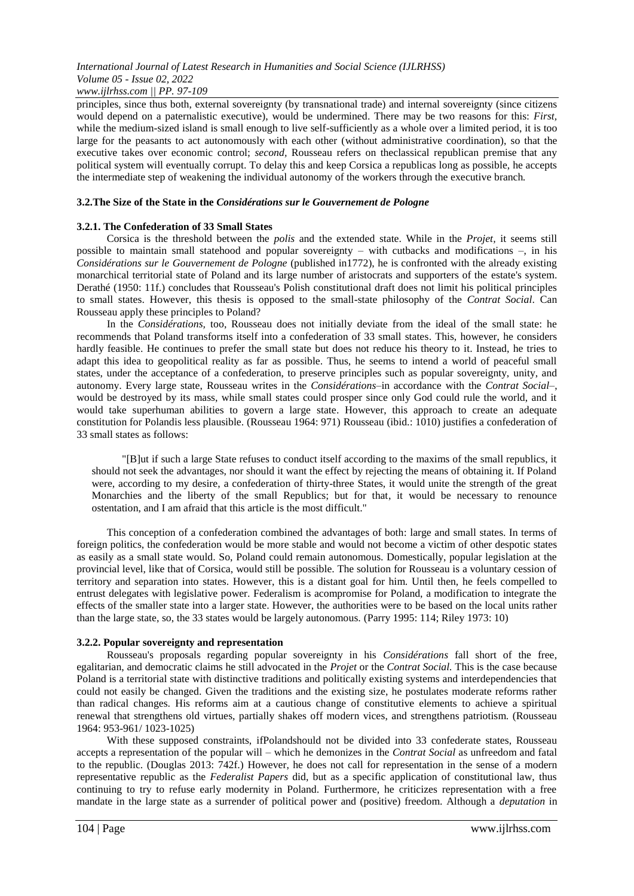principles, since thus both, external sovereignty (by transnational trade) and internal sovereignty (since citizens would depend on a paternalistic executive), would be undermined. There may be two reasons for this: *First,*  while the medium-sized island is small enough to live self-sufficiently as a whole over a limited period, it is too large for the peasants to act autonomously with each other (without administrative coordination), so that the executive takes over economic control; *second,* Rousseau refers on theclassical republican premise that any political system will eventually corrupt. To delay this and keep Corsica a republicas long as possible, he accepts the intermediate step of weakening the individual autonomy of the workers through the executive branch*.*

## **3.2.The Size of the State in the** *Considérations sur le Gouvernement de Pologne*

## **3.2.1. The Confederation of 33 Small States**

Corsica is the threshold between the *polis* and the extended state. While in the *Projet,* it seems still possible to maintain small statehood and popular sovereignty – with cutbacks and modifications –, in his *Considérations sur le Gouvernement de Pologne* (published in1772), he is confronted with the already existing monarchical territorial state of Poland and its large number of aristocrats and supporters of the estate's system. Derathé (1950: 11f.) concludes that Rousseau's Polish constitutional draft does not limit his political principles to small states. However, this thesis is opposed to the small-state philosophy of the *Contrat Social*. Can Rousseau apply these principles to Poland?

In the *Considérations,* too, Rousseau does not initially deviate from the ideal of the small state: he recommends that Poland transforms itself into a confederation of 33 small states. This, however, he considers hardly feasible. He continues to prefer the small state but does not reduce his theory to it. Instead, he tries to adapt this idea to geopolitical reality as far as possible. Thus, he seems to intend a world of peaceful small states, under the acceptance of a confederation, to preserve principles such as popular sovereignty, unity, and autonomy. Every large state, Rousseau writes in the *Considérations*–in accordance with the *Contrat Social*–, would be destroyed by its mass, while small states could prosper since only God could rule the world, and it would take superhuman abilities to govern a large state. However, this approach to create an adequate constitution for Polandis less plausible. (Rousseau 1964: 971) Rousseau (ibid.: 1010) justifies a confederation of 33 small states as follows:

"[B]ut if such a large State refuses to conduct itself according to the maxims of the small republics, it should not seek the advantages, nor should it want the effect by rejecting the means of obtaining it. If Poland were, according to my desire, a confederation of thirty-three States, it would unite the strength of the great Monarchies and the liberty of the small Republics; but for that, it would be necessary to renounce ostentation, and I am afraid that this article is the most difficult."

This conception of a confederation combined the advantages of both: large and small states. In terms of foreign politics, the confederation would be more stable and would not become a victim of other despotic states as easily as a small state would. So, Poland could remain autonomous. Domestically, popular legislation at the provincial level, like that of Corsica, would still be possible. The solution for Rousseau is a voluntary cession of territory and separation into states. However, this is a distant goal for him. Until then, he feels compelled to entrust delegates with legislative power. Federalism is acompromise for Poland, a modification to integrate the effects of the smaller state into a larger state. However, the authorities were to be based on the local units rather than the large state, so, the 33 states would be largely autonomous. (Parry 1995: 114; Riley 1973: 10)

## **3.2.2. Popular sovereignty and representation**

Rousseau's proposals regarding popular sovereignty in his *Considérations* fall short of the free, egalitarian, and democratic claims he still advocated in the *Projet* or the *Contrat Social.* This is the case because Poland is a territorial state with distinctive traditions and politically existing systems and interdependencies that could not easily be changed. Given the traditions and the existing size, he postulates moderate reforms rather than radical changes. His reforms aim at a cautious change of constitutive elements to achieve a spiritual renewal that strengthens old virtues, partially shakes off modern vices, and strengthens patriotism. (Rousseau 1964: 953-961/ 1023-1025)

With these supposed constraints, ifPolandshould not be divided into 33 confederate states, Rousseau accepts a representation of the popular will – which he demonizes in the *Contrat Social* as unfreedom and fatal to the republic. (Douglas 2013: 742f.) However, he does not call for representation in the sense of a modern representative republic as the *Federalist Papers* did, but as a specific application of constitutional law, thus continuing to try to refuse early modernity in Poland. Furthermore, he criticizes representation with a free mandate in the large state as a surrender of political power and (positive) freedom. Although a *deputation* in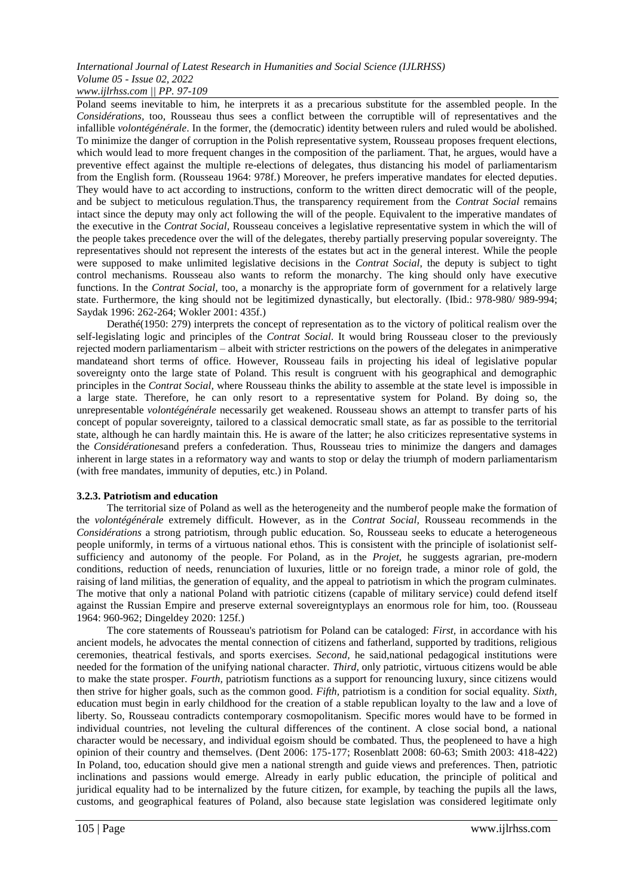Poland seems inevitable to him, he interprets it as a precarious substitute for the assembled people. In the *Considérations,* too, Rousseau thus sees a conflict between the corruptible will of representatives and the infallible *volontégénérale*. In the former, the (democratic) identity between rulers and ruled would be abolished. To minimize the danger of corruption in the Polish representative system, Rousseau proposes frequent elections, which would lead to more frequent changes in the composition of the parliament. That, he argues, would have a preventive effect against the multiple re-elections of delegates, thus distancing his model of parliamentarism from the English form. (Rousseau 1964: 978f.) Moreover, he prefers imperative mandates for elected deputies. They would have to act according to instructions, conform to the written direct democratic will of the people, and be subject to meticulous regulation.Thus, the transparency requirement from the *Contrat Social* remains intact since the deputy may only act following the will of the people. Equivalent to the imperative mandates of the executive in the *Contrat Social,* Rousseau conceives a legislative representative system in which the will of the people takes precedence over the will of the delegates, thereby partially preserving popular sovereignty. The representatives should not represent the interests of the estates but act in the general interest. While the people were supposed to make unlimited legislative decisions in the *Contrat Social*, the deputy is subject to tight control mechanisms. Rousseau also wants to reform the monarchy. The king should only have executive functions. In the *Contrat Social,* too, a monarchy is the appropriate form of government for a relatively large state. Furthermore, the king should not be legitimized dynastically, but electorally. (Ibid.: 978-980/ 989-994; Saydak 1996: 262-264; Wokler 2001: 435f.)

Derathé(1950: 279) interprets the concept of representation as to the victory of political realism over the self-legislating logic and principles of the *Contrat Social.* It would bring Rousseau closer to the previously rejected modern parliamentarism – albeit with stricter restrictions on the powers of the delegates in animperative mandateand short terms of office. However, Rousseau fails in projecting his ideal of legislative popular sovereignty onto the large state of Poland. This result is congruent with his geographical and demographic principles in the *Contrat Social,* where Rousseau thinks the ability to assemble at the state level is impossible in a large state. Therefore, he can only resort to a representative system for Poland. By doing so, the unrepresentable *volontégénérale* necessarily get weakened. Rousseau shows an attempt to transfer parts of his concept of popular sovereignty, tailored to a classical democratic small state, as far as possible to the territorial state, although he can hardly maintain this. He is aware of the latter; he also criticizes representative systems in the *Considérationes*and prefers a confederation. Thus, Rousseau tries to minimize the dangers and damages inherent in large states in a reformatory way and wants to stop or delay the triumph of modern parliamentarism (with free mandates, immunity of deputies, etc.) in Poland.

# **3.2.3. Patriotism and education**

The territorial size of Poland as well as the heterogeneity and the numberof people make the formation of the *volontégénérale* extremely difficult. However, as in the *Contrat Social,* Rousseau recommends in the *Considérations* a strong patriotism, through public education. So, Rousseau seeks to educate a heterogeneous people uniformly, in terms of a virtuous national ethos. This is consistent with the principle of isolationist selfsufficiency and autonomy of the people. For Poland, as in the *Projet,* he suggests agrarian, pre-modern conditions, reduction of needs, renunciation of luxuries, little or no foreign trade, a minor role of gold, the raising of land militias, the generation of equality, and the appeal to patriotism in which the program culminates. The motive that only a national Poland with patriotic citizens (capable of military service) could defend itself against the Russian Empire and preserve external sovereigntyplays an enormous role for him, too. (Rousseau 1964: 960-962; Dingeldey 2020: 125f.)

The core statements of Rousseau's patriotism for Poland can be cataloged: *First,* in accordance with his ancient models, he advocates the mental connection of citizens and fatherland, supported by traditions, religious ceremonies, theatrical festivals, and sports exercises. *Second,* he said,national pedagogical institutions were needed for the formation of the unifying national character. *Third,* only patriotic, virtuous citizens would be able to make the state prosper. *Fourth,* patriotism functions as a support for renouncing luxury, since citizens would then strive for higher goals, such as the common good. *Fifth,* patriotism is a condition for social equality. *Sixth,*  education must begin in early childhood for the creation of a stable republican loyalty to the law and a love of liberty. So, Rousseau contradicts contemporary cosmopolitanism. Specific mores would have to be formed in individual countries, not leveling the cultural differences of the continent. A close social bond, a national character would be necessary, and individual egoism should be combated. Thus, the peopleneed to have a high opinion of their country and themselves. (Dent 2006: 175-177; Rosenblatt 2008: 60-63; Smith 2003: 418-422) In Poland, too, education should give men a national strength and guide views and preferences. Then, patriotic inclinations and passions would emerge. Already in early public education, the principle of political and juridical equality had to be internalized by the future citizen, for example, by teaching the pupils all the laws, customs, and geographical features of Poland, also because state legislation was considered legitimate only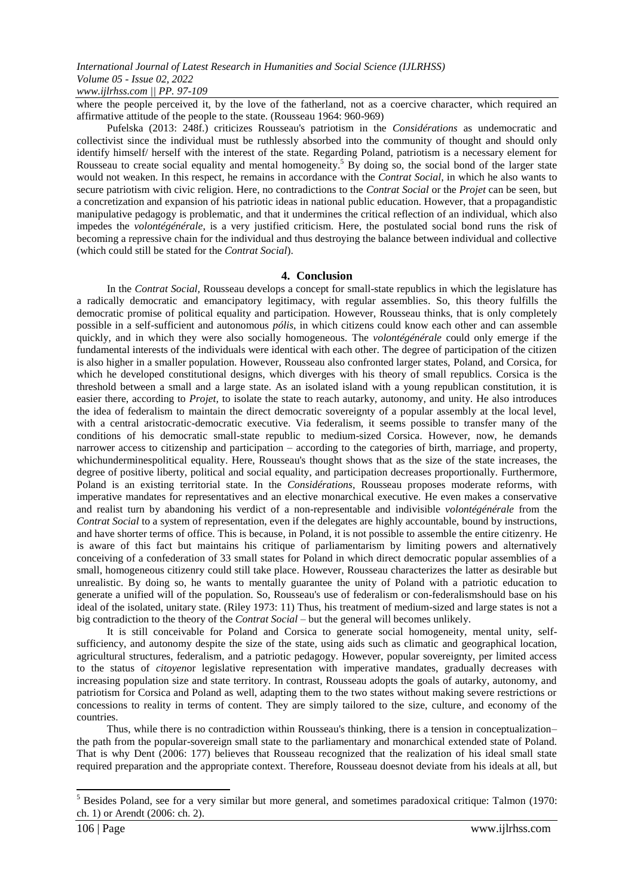where the people perceived it, by the love of the fatherland, not as a coercive character, which required an affirmative attitude of the people to the state. (Rousseau 1964: 960-969)

Pufelska (2013: 248f.) criticizes Rousseau's patriotism in the *Considérations* as undemocratic and collectivist since the individual must be ruthlessly absorbed into the community of thought and should only identify himself/ herself with the interest of the state. Regarding Poland, patriotism is a necessary element for Rousseau to create social equality and mental homogeneity.<sup>5</sup> By doing so, the social bond of the larger state would not weaken. In this respect, he remains in accordance with the *Contrat Social*, in which he also wants to secure patriotism with civic religion. Here, no contradictions to the *Contrat Social* or the *Projet* can be seen, but a concretization and expansion of his patriotic ideas in national public education. However, that a propagandistic manipulative pedagogy is problematic, and that it undermines the critical reflection of an individual, which also impedes the *volontégénérale*, is a very justified criticism. Here, the postulated social bond runs the risk of becoming a repressive chain for the individual and thus destroying the balance between individual and collective (which could still be stated for the *Contrat Social*).

## **4. Conclusion**

In the *Contrat Social,* Rousseau develops a concept for small-state republics in which the legislature has a radically democratic and emancipatory legitimacy, with regular assemblies. So, this theory fulfills the democratic promise of political equality and participation. However, Rousseau thinks, that is only completely possible in a self-sufficient and autonomous *pólis*, in which citizens could know each other and can assemble quickly, and in which they were also socially homogeneous. The *volontégénérale* could only emerge if the fundamental interests of the individuals were identical with each other. The degree of participation of the citizen is also higher in a smaller population. However, Rousseau also confronted larger states, Poland, and Corsica, for which he developed constitutional designs, which diverges with his theory of small republics. Corsica is the threshold between a small and a large state. As an isolated island with a young republican constitution, it is easier there, according to *Projet,* to isolate the state to reach autarky, autonomy, and unity. He also introduces the idea of federalism to maintain the direct democratic sovereignty of a popular assembly at the local level, with a central aristocratic-democratic executive. Via federalism, it seems possible to transfer many of the conditions of his democratic small-state republic to medium-sized Corsica. However, now, he demands narrower access to citizenship and participation – according to the categories of birth, marriage, and property, whichunderminespolitical equality. Here, Rousseau's thought shows that as the size of the state increases, the degree of positive liberty, political and social equality, and participation decreases proportionally. Furthermore, Poland is an existing territorial state. In the *Considérations,* Rousseau proposes moderate reforms, with imperative mandates for representatives and an elective monarchical executive. He even makes a conservative and realist turn by abandoning his verdict of a non-representable and indivisible *volontégénérale* from the *Contrat Social* to a system of representation, even if the delegates are highly accountable, bound by instructions, and have shorter terms of office. This is because, in Poland, it is not possible to assemble the entire citizenry. He is aware of this fact but maintains his critique of parliamentarism by limiting powers and alternatively conceiving of a confederation of 33 small states for Poland in which direct democratic popular assemblies of a small, homogeneous citizenry could still take place. However, Rousseau characterizes the latter as desirable but unrealistic. By doing so, he wants to mentally guarantee the unity of Poland with a patriotic education to generate a unified will of the population. So, Rousseau's use of federalism or con-federalismshould base on his ideal of the isolated, unitary state. (Riley 1973: 11) Thus, his treatment of medium-sized and large states is not a big contradiction to the theory of the *Contrat Social* – but the general will becomes unlikely.

It is still conceivable for Poland and Corsica to generate social homogeneity, mental unity, selfsufficiency, and autonomy despite the size of the state, using aids such as climatic and geographical location, agricultural structures, federalism, and a patriotic pedagogy. However, popular sovereignty, per limited access to the status of *citoyen*or legislative representation with imperative mandates, gradually decreases with increasing population size and state territory. In contrast, Rousseau adopts the goals of autarky, autonomy, and patriotism for Corsica and Poland as well, adapting them to the two states without making severe restrictions or concessions to reality in terms of content. They are simply tailored to the size, culture, and economy of the countries.

Thus, while there is no contradiction within Rousseau's thinking, there is a tension in conceptualization– the path from the popular-sovereign small state to the parliamentary and monarchical extended state of Poland. That is why Dent (2006: 177) believes that Rousseau recognized that the realization of his ideal small state required preparation and the appropriate context. Therefore, Rousseau doesnot deviate from his ideals at all, but

**-**

 $<sup>5</sup>$  Besides Poland, see for a very similar but more general, and sometimes paradoxical critique: Talmon (1970:</sup> ch. 1) or Arendt (2006: ch. 2).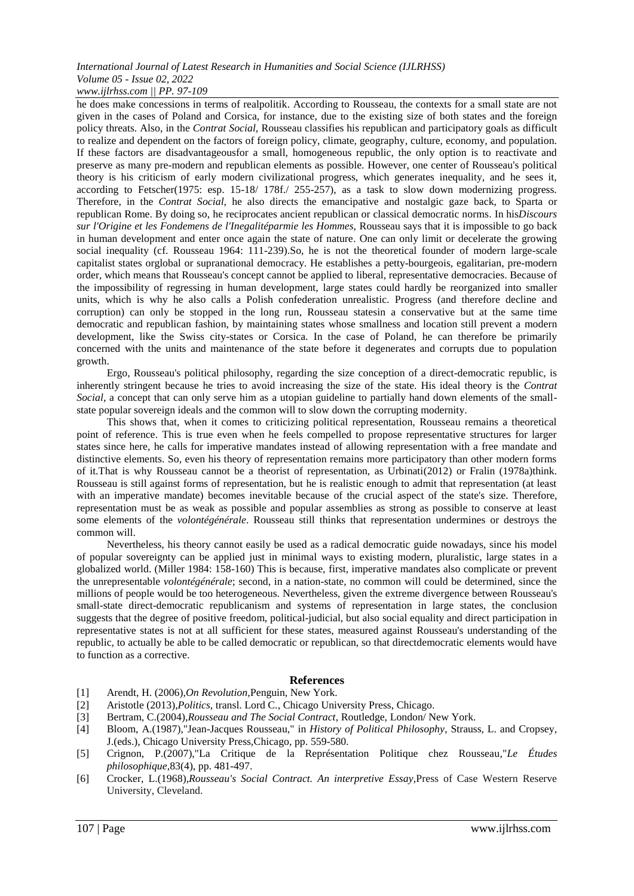he does make concessions in terms of realpolitik. According to Rousseau, the contexts for a small state are not given in the cases of Poland and Corsica, for instance, due to the existing size of both states and the foreign policy threats. Also, in the *Contrat Social,* Rousseau classifies his republican and participatory goals as difficult to realize and dependent on the factors of foreign policy, climate, geography, culture, economy, and population. If these factors are disadvantageousfor a small, homogeneous republic, the only option is to reactivate and preserve as many pre-modern and republican elements as possible. However, one center of Rousseau's political theory is his criticism of early modern civilizational progress, which generates inequality, and he sees it, according to Fetscher(1975: esp. 15-18/ 178f./ 255-257), as a task to slow down modernizing progress. Therefore, in the *Contrat Social,* he also directs the emancipative and nostalgic gaze back, to Sparta or republican Rome. By doing so, he reciprocates ancient republican or classical democratic norms. In his*Discours sur l'Origine et les Fondemens de l'Inegalitéparmie les Hommes,* Rousseau says that it is impossible to go back in human development and enter once again the state of nature. One can only limit or decelerate the growing social inequality (cf. Rousseau 1964: 111-239). So, he is not the theoretical founder of modern large-scale capitalist states orglobal or supranational democracy. He establishes a petty-bourgeois, egalitarian, pre-modern order, which means that Rousseau's concept cannot be applied to liberal, representative democracies. Because of the impossibility of regressing in human development, large states could hardly be reorganized into smaller units, which is why he also calls a Polish confederation unrealistic. Progress (and therefore decline and corruption) can only be stopped in the long run, Rousseau statesin a conservative but at the same time democratic and republican fashion, by maintaining states whose smallness and location still prevent a modern development, like the Swiss city-states or Corsica. In the case of Poland, he can therefore be primarily concerned with the units and maintenance of the state before it degenerates and corrupts due to population growth.

Ergo, Rousseau's political philosophy, regarding the size conception of a direct-democratic republic, is inherently stringent because he tries to avoid increasing the size of the state. His ideal theory is the *Contrat Social*, a concept that can only serve him as a utopian guideline to partially hand down elements of the smallstate popular sovereign ideals and the common will to slow down the corrupting modernity.

This shows that, when it comes to criticizing political representation, Rousseau remains a theoretical point of reference. This is true even when he feels compelled to propose representative structures for larger states since here, he calls for imperative mandates instead of allowing representation with a free mandate and distinctive elements. So, even his theory of representation remains more participatory than other modern forms of it.That is why Rousseau cannot be a theorist of representation, as Urbinati(2012) or Fralin (1978a)think. Rousseau is still against forms of representation, but he is realistic enough to admit that representation (at least with an imperative mandate) becomes inevitable because of the crucial aspect of the state's size. Therefore, representation must be as weak as possible and popular assemblies as strong as possible to conserve at least some elements of the *volontégénérale*. Rousseau still thinks that representation undermines or destroys the common will.

Nevertheless, his theory cannot easily be used as a radical democratic guide nowadays, since his model of popular sovereignty can be applied just in minimal ways to existing modern, pluralistic, large states in a globalized world. (Miller 1984: 158-160) This is because, first, imperative mandates also complicate or prevent the unrepresentable *volontégénérale*; second, in a nation-state*,* no common will could be determined, since the millions of people would be too heterogeneous. Nevertheless, given the extreme divergence between Rousseau's small-state direct-democratic republicanism and systems of representation in large states, the conclusion suggests that the degree of positive freedom, political-judicial, but also social equality and direct participation in representative states is not at all sufficient for these states, measured against Rousseau's understanding of the republic, to actually be able to be called democratic or republican, so that directdemocratic elements would have to function as a corrective.

# **References**

- [1] Arendt, H. (2006),*On Revolution,*Penguin, New York.
- [2] Aristotle (2013),*Politics*, transl. Lord C., Chicago University Press, Chicago.
- [3] Bertram, C.(2004),*Rousseau and The Social Contract*, Routledge, London/ New York.
- [4] Bloom, A.(1987),"Jean-Jacques Rousseau," in *History of Political Philosophy*, Strauss, L. and Cropsey, J.(eds.), Chicago University Press,Chicago, pp. 559-580.
- [5] Crignon, P.(2007),"La Critique de la Représentation Politique chez Rousseau,"*Le Études philosophique,*83(4), pp. 481-497.
- [6] Crocker, L.(1968),*Rousseau's Social Contract. An interpretive Essay*,Press of Case Western Reserve University, Cleveland.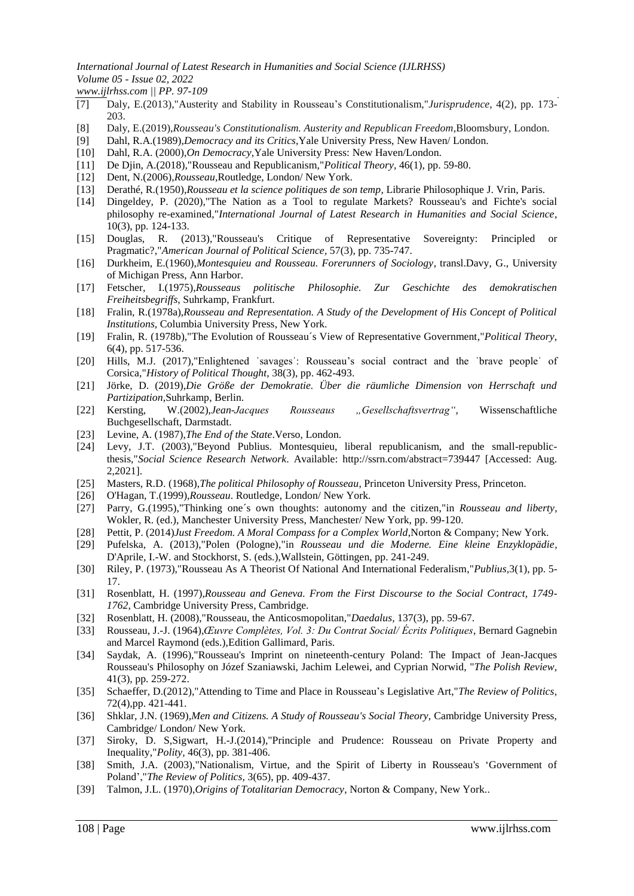*International Journal of Latest Research in Humanities and Social Science (IJLRHSS) Volume 05 - Issue 02, 2022*

*www.ijlrhss.com || PP. 97-109*

- [7] Daly, E.(2013),"Austerity and Stability in Rousseau's Constitutionalism,"*Jurisprudence*, 4(2), pp. 173- 203.
- [8] Daly, E.(2019),*Rousseau's Constitutionalism. Austerity and Republican Freedom*,Bloomsbury, London.
- [9] Dahl, R.A.(1989),*Democracy and its Critics*,Yale University Press, New Haven/ London.
- [10] Dahl, R.A. (2000),*On Democracy*,Yale University Press: New Haven/London.
- [11] De Djin, A.(2018),"Rousseau and Republicanism,"*Political Theory,* 46(1), pp. 59-80.
- [12] Dent, N.(2006),*Rousseau*,Routledge, London/ New York.
- [13] Derathé, R.(1950),*Rousseau et la science politiques de son temp,* Librarie Philosophique J. Vrin, Paris.
- [14] Dingeldey, P. (2020),"The Nation as a Tool to regulate Markets? Rousseau's and Fichte's social philosophy re-examined,"*International Journal of Latest Research in Humanities and Social Science*, 10(3), pp. 124-133.
- [15] Douglas, R. (2013),"Rousseau's Critique of Representative Sovereignty: Principled or Pragmatic?,"*American Journal of Political Science,* 57(3), pp. 735-747.
- [16] Durkheim, E.(1960),*Montesquieu and Rousseau. Forerunners of Sociology*, transl.Davy, G., University of Michigan Press, Ann Harbor.
- [17] Fetscher, I.(1975),*Rousseaus politische Philosophie. Zur Geschichte des demokratischen Freiheitsbegriffs,* Suhrkamp, Frankfurt.
- [18] Fralin, R.(1978a),*Rousseau and Representation. A Study of the Development of His Concept of Political Institutions*, Columbia University Press, New York.
- [19] Fralin, R. (1978b),"The Evolution of Rousseau´s View of Representative Government,"*Political Theory,* 6(4), pp. 517-536.
- [20] Hills, M.J. (2017),"Enlightened ˈsavagesˈ: Rousseau's social contract and the ˈbrave peopleˈ of Corsica,"*History of Political Thought*, 38(3), pp. 462-493.
- [21] Jörke, D. (2019),*Die Größe der Demokratie. Über die räumliche Dimension von Herrschaft und Partizipation*,Suhrkamp, Berlin.
- [22] Kersting, W.(2002),*Jean-Jacques Rousseaus "Gesellschaftsvertrag",* Wissenschaftliche Buchgesellschaft, Darmstadt.
- [23] Levine, A. (1987),*The End of the State*.Verso, London.
- [24] Levy, J.T. (2003),"Beyond Publius. Montesquieu, liberal republicanism, and the small-republicthesis,"*Social Science Research Network*. Available: [http://ssrn.com/abstract=739447 \[](http://ssrn.com/abstract=739447)Accessed: Aug. 2,2021].
- [25] Masters, R.D. (1968),*The political Philosophy of Rousseau*, Princeton University Press, Princeton.
- [26] O'Hagan, T.(1999),*Rousseau*. Routledge, London/ New York.
- [27] Parry, G.(1995),"Thinking one´s own thoughts: autonomy and the citizen,"in *Rousseau and liberty*, Wokler, R. (ed.), Manchester University Press, Manchester/ New York, pp. 99-120.
- [28] Pettit, P. (2014)*Just Freedom. A Moral Compass for a Complex World*,Norton & Company; New York.
- [29] Pufelska, A. (2013),"Polen (Pologne),"in *Rousseau und die Moderne. Eine kleine Enzyklopädie,*  D'Aprile, I.-W. and Stockhorst, S. (eds.),Wallstein, Göttingen, pp. 241-249.
- [30] Riley, P. (1973),"Rousseau As A Theorist Of National And International Federalism,"*Publius,*3(1), pp. 5- 17.
- [31] Rosenblatt, H. (1997),*Rousseau and Geneva. From the First Discourse to the Social Contract, 1749- 1762*, Cambridge University Press, Cambridge.
- [32] Rosenblatt, H. (2008),"Rousseau, the Anticosmopolitan,"*Daedalus,* 137(3), pp. 59-67.
- [33] Rousseau, J.-J. (1964),*Œuvre Complètes, Vol. 3: Du Contrat Social/ Écrits Politiques*, Bernard Gagnebin and Marcel Raymond (eds.),Edition Gallimard, Paris.
- [34] Saydak, A. (1996),"Rousseau's Imprint on nineteenth-century Poland: The Impact of Jean-Jacques Rousseau's Philosophy on Józef Szaniawski, Jachim Lelewei, and Cyprian Norwid, "*The Polish Review,* 41(3), pp. 259-272.
- [35] Schaeffer, D.(2012),"Attending to Time and Place in Rousseau's Legislative Art,"*The Review of Politics*, 72(4),pp. 421-441.
- [36] Shklar, J.N. (1969),*Men and Citizens. A Study of Rousseau's Social Theory*, Cambridge University Press, Cambridge/ London/ New York.
- [37] Siroky, D. S,Sigwart, H.-J.(2014),"Principle and Prudence: Rousseau on Private Property and Inequality,"*Polity,* 46(3), pp. 381-406.
- [38] Smith, J.A. (2003),"Nationalism, Virtue, and the Spirit of Liberty in Rousseau's ʻGovernment of Poland',"*The Review of Politics,* 3(65), pp. 409-437.
- [39] Talmon, J.L. (1970),*Origins of Totalitarian Democracy*, Norton & Company, New York..